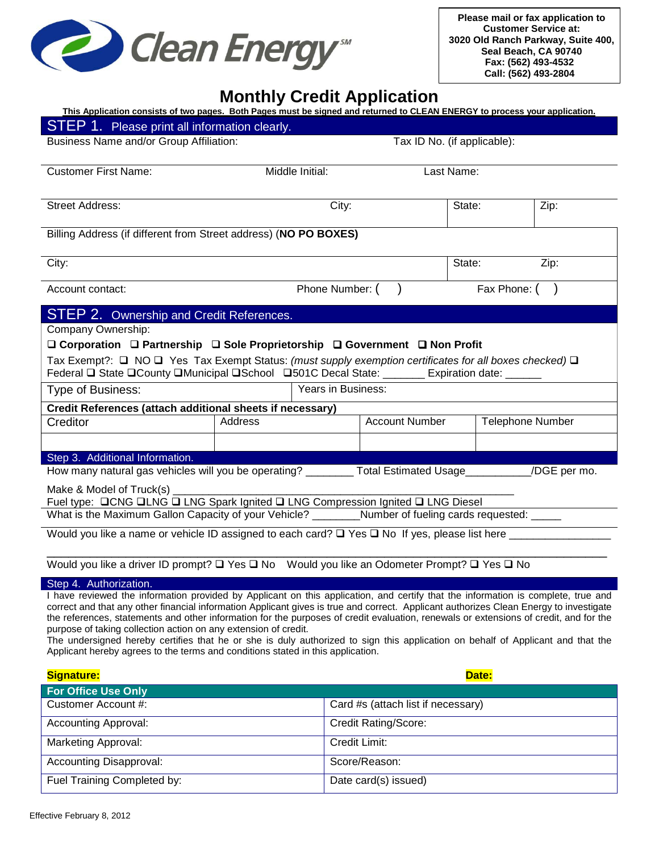

**Please mail or fax application to Customer Service at: 3020 Old Ranch Parkway, Suite 400, Seal Beach, CA 90740 Fax: (562) 493-4532 Call: (562) 493-2804**

## **Monthly Credit Application**

| This Application consists of two pages. Both Pages must be signed and returned to CLEAN ENERGY to process your application.                                                                                                                                                     |                               |       |                                    |        |                         |              |  |
|---------------------------------------------------------------------------------------------------------------------------------------------------------------------------------------------------------------------------------------------------------------------------------|-------------------------------|-------|------------------------------------|--------|-------------------------|--------------|--|
| STEP 1. Please print all information clearly.                                                                                                                                                                                                                                   |                               |       |                                    |        |                         |              |  |
| <b>Business Name and/or Group Affiliation:</b>                                                                                                                                                                                                                                  |                               |       | Tax ID No. (if applicable):        |        |                         |              |  |
|                                                                                                                                                                                                                                                                                 |                               |       |                                    |        |                         |              |  |
| <b>Customer First Name:</b>                                                                                                                                                                                                                                                     | Middle Initial:<br>Last Name: |       |                                    |        |                         |              |  |
|                                                                                                                                                                                                                                                                                 |                               |       |                                    |        |                         |              |  |
| <b>Street Address:</b>                                                                                                                                                                                                                                                          |                               | City: |                                    | State: |                         | Zip:         |  |
|                                                                                                                                                                                                                                                                                 |                               |       |                                    |        |                         |              |  |
| Billing Address (if different from Street address) (NO PO BOXES)                                                                                                                                                                                                                |                               |       |                                    |        |                         |              |  |
|                                                                                                                                                                                                                                                                                 |                               |       |                                    |        |                         |              |  |
| City:                                                                                                                                                                                                                                                                           |                               |       |                                    | State: |                         | Zip:         |  |
| Account contact:                                                                                                                                                                                                                                                                |                               |       | Phone Number: (                    |        |                         | Fax Phone: ( |  |
|                                                                                                                                                                                                                                                                                 |                               |       |                                    |        |                         |              |  |
| <b>STEP 2. Ownership and Credit References.</b>                                                                                                                                                                                                                                 |                               |       |                                    |        |                         |              |  |
| Company Ownership:                                                                                                                                                                                                                                                              |                               |       |                                    |        |                         |              |  |
| □ Corporation □ Partnership □ Sole Proprietorship □ Government □ Non Profit                                                                                                                                                                                                     |                               |       |                                    |        |                         |              |  |
| Tax Exempt?: $\Box$ NO $\Box$ Yes Tax Exempt Status: (must supply exemption certificates for all boxes checked) $\Box$                                                                                                                                                          |                               |       |                                    |        |                         |              |  |
| Federal Q State QCounty QMunicipal QSchool Q501C Decal State: ______ Expiration date: _____                                                                                                                                                                                     |                               |       |                                    |        |                         |              |  |
| Years in Business:<br>Type of Business:                                                                                                                                                                                                                                         |                               |       |                                    |        |                         |              |  |
| Credit References (attach additional sheets if necessary)                                                                                                                                                                                                                       |                               |       |                                    |        |                         |              |  |
| Creditor                                                                                                                                                                                                                                                                        | Address                       |       | <b>Account Number</b>              |        | <b>Telephone Number</b> |              |  |
|                                                                                                                                                                                                                                                                                 |                               |       |                                    |        |                         |              |  |
| Step 3. Additional Information.                                                                                                                                                                                                                                                 |                               |       |                                    |        |                         |              |  |
| How many natural gas vehicles will you be operating? _________ Total Estimated Usage___________/DGE per mo.                                                                                                                                                                     |                               |       |                                    |        |                         |              |  |
| Make & Model of Truck(s) ________                                                                                                                                                                                                                                               |                               |       |                                    |        |                         |              |  |
| Fuel type: <b>QCNG QLNG Q LNG Spark Ignited Q LNG Compression Ignited Q LNG Diesel</b>                                                                                                                                                                                          |                               |       |                                    |        |                         |              |  |
| What is the Maximum Gallon Capacity of your Vehicle? Number of fueling cards requested: _____                                                                                                                                                                                   |                               |       |                                    |        |                         |              |  |
|                                                                                                                                                                                                                                                                                 |                               |       |                                    |        |                         |              |  |
|                                                                                                                                                                                                                                                                                 |                               |       |                                    |        |                         |              |  |
| Would you like a driver ID prompt? $\Box$ Yes $\Box$ No Would you like an Odometer Prompt? $\Box$ Yes $\Box$ No                                                                                                                                                                 |                               |       |                                    |        |                         |              |  |
| Step 4. Authorization.                                                                                                                                                                                                                                                          |                               |       |                                    |        |                         |              |  |
| I have reviewed the information provided by Applicant on this application, and certify that the information is complete, true and                                                                                                                                               |                               |       |                                    |        |                         |              |  |
| correct and that any other financial information Applicant gives is true and correct. Applicant authorizes Clean Energy to investigate<br>the references, statements and other information for the purposes of credit evaluation, renewals or extensions of credit, and for the |                               |       |                                    |        |                         |              |  |
| purpose of taking collection action on any extension of credit.                                                                                                                                                                                                                 |                               |       |                                    |        |                         |              |  |
| The undersigned hereby certifies that he or she is duly authorized to sign this application on behalf of Applicant and that the<br>Applicant hereby agrees to the terms and conditions stated in this application.                                                              |                               |       |                                    |        |                         |              |  |
|                                                                                                                                                                                                                                                                                 |                               |       |                                    |        |                         |              |  |
| Signature:                                                                                                                                                                                                                                                                      |                               |       |                                    |        | Date:                   |              |  |
| <b>For Office Use Only</b>                                                                                                                                                                                                                                                      |                               |       |                                    |        |                         |              |  |
| Customer Account #:                                                                                                                                                                                                                                                             |                               |       | Card #s (attach list if necessary) |        |                         |              |  |
| <b>Accounting Approval:</b>                                                                                                                                                                                                                                                     |                               |       | Credit Rating/Score:               |        |                         |              |  |
| <b>Marketing Approval:</b>                                                                                                                                                                                                                                                      |                               |       | Credit Limit:                      |        |                         |              |  |
| <b>Accounting Disapproval:</b>                                                                                                                                                                                                                                                  |                               |       | Score/Reason:                      |        |                         |              |  |
| Fuel Training Completed by:                                                                                                                                                                                                                                                     |                               |       | Date card(s) issued)               |        |                         |              |  |
|                                                                                                                                                                                                                                                                                 |                               |       |                                    |        |                         |              |  |